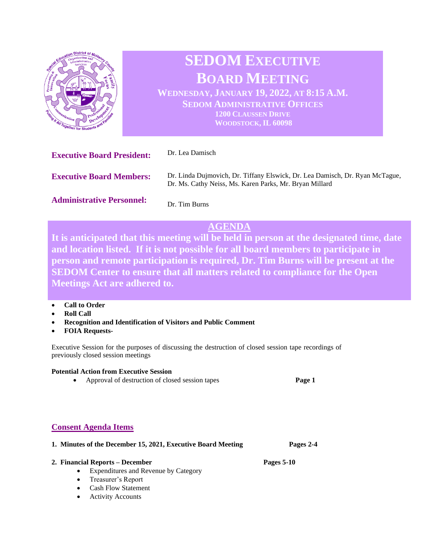

# **SEDOM EXECUTIVE BOARD MEETING**

**WEDNESDAY, JANUARY 19, 2022, AT 8:15 A.M. SEDOM ADMINISTRATIVE OFFICES 1200 CLAUSSEN DRIVE WOODSTOCK, IL 60098**

| <b>Executive Board President:</b> | Dr. Lea Damisch                                                                                                                         |
|-----------------------------------|-----------------------------------------------------------------------------------------------------------------------------------------|
| <b>Executive Board Members:</b>   | Dr. Linda Dujmovich, Dr. Tiffany Elswick, Dr. Lea Damisch, Dr. Ryan McTague,<br>Dr. Ms. Cathy Neiss, Ms. Karen Parks, Mr. Bryan Millard |
| <b>Administrative Personnel:</b>  | Dr. Tim Burns                                                                                                                           |

# **AGENDA**

**It is anticipated that this meeting will be held in person at the designated time, date and location listed. If it is not possible for all board members to participate in person and remote participation is required, Dr. Tim Burns will be present at the SEDOM Center to ensure that all matters related to compliance for the Open Meetings Act are adhered to.** 

- **Call to Order**
- **Roll Call**
- **Recognition and Identification of Visitors and Public Comment**
- **FOIA Requests-**

Executive Session for the purposes of discussing the destruction of closed session tape recordings of previously closed session meetings

#### **Potential Action from Executive Session**

• Approval of destruction of closed session tapes **Page 1**

## **Consent Agenda Items**

| 1. Minutes of the December 15, 2021, Executive Board Meeting |                                                          | Pages 2-4  |
|--------------------------------------------------------------|----------------------------------------------------------|------------|
|                                                              | 2. Financial Reports – December                          | Pages 5-10 |
|                                                              | <b>Expenditures and Revenue by Category</b><br>$\bullet$ |            |
|                                                              | • Treasurer's Report                                     |            |
|                                                              | <b>Cash Flow Statement</b><br>$\bullet$                  |            |
|                                                              | <b>Activity Accounts</b>                                 |            |